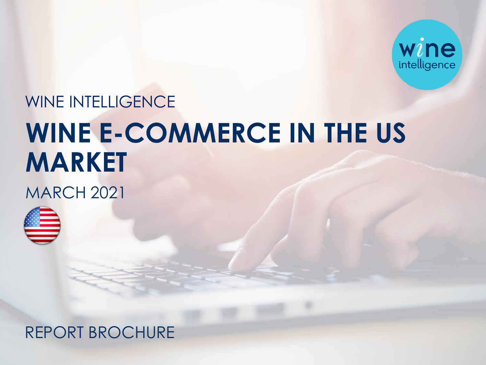

## WINE INTELLIGENCE **WINE E-COMMERCE IN THE US MARKET**

**MARCH 2021** 



## REPORT BROCHURE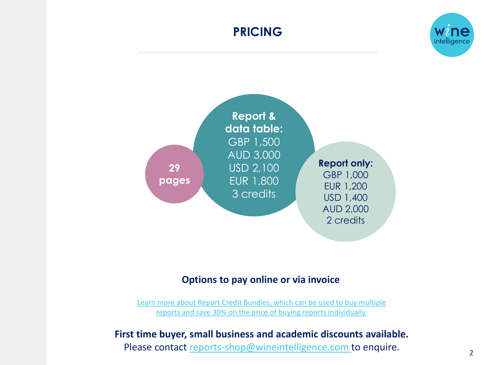## **PRICING**



#### **Options to pay online or via invoice**

[Learn more about Report Credit Bundles, which can be used to buy multiple](https://www.wineintelligence.com/downloads/report-credit-bundle/) reports and save 30% on the price of buying reports individually.

#### **First time buyer, small business and academic discounts available.**

Please contact [reports-shop@wineintelligence.com t](mailto:reports-shop@wineintelligence.com)o enquire.

intelligenc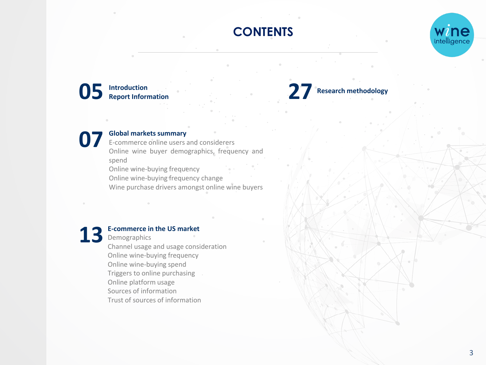## **CONTENTS**



**05 27 Introduction Report Information**

## **07 Global markets summary**

E-commerce online users and considerers Online wine buyer demographics, frequency and spend

Online wine-buying frequency Online wine-buying frequency change Wine purchase drivers amongst online wine buyers



#### **E-commerce in the US market**

Demographics Channel usage and usage consideration Online wine-buying frequency Online wine-buying spend Triggers to online purchasing Online platform usage Sources of information Trust of sources of information

## **Research methodology**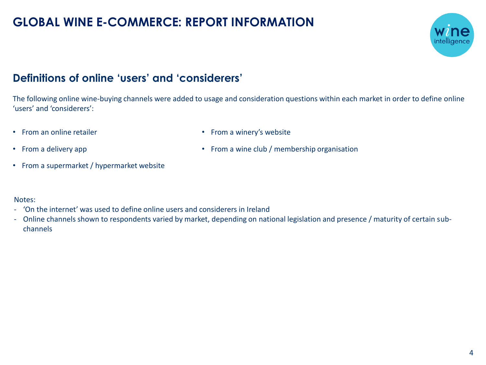## **GLOBAL WINE E-COMMERCE: REPORT INFORMATION**



## **Definitions of online 'users' and 'considerers'**

The following online wine-buying channels were added to usage and consideration questions within each market in order to define online 'users' and 'considerers':

• From an online retailer

• From a winery's website

• From a wine club / membership organisation

- From a delivery app
- From a supermarket / hypermarket website

#### Notes:

- 'On the internet' was used to define online users and considerers in Ireland
- Online channels shown to respondents varied by market, depending on national legislation and presence / maturity of certain subchannels

4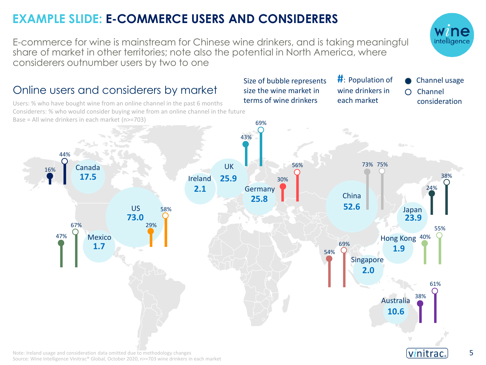## **EXAMPLE SLIDE: E-COMMERCE USERS AND CONSIDERERS**

E-commerce for wine is mainstream for Chinese wine drinkers, and is taking meaningful share of market in other territories; note also the potential in North America, where considerers outnumber users by two to one

## Online users and considerers by market

Source: Wine Intelligence Vinitrac® Global, October 2020, n>=703 wine drinkers in each market

Users: % who have bought wine from an online channel in the past 6 months Considerers: % who would consider buying wine from an online channel in the future Base = All wine drinkers in each market (n>=703)

#### 69% 58% 43%  $\sigma_{\rm 2}$ 24% 47% 44% .<sub>%</sub> 73% 75% 32% UK 56% 73% 75% Canada 16%  $\bigcap$  $3<sup>3</sup>$ **25.9** 8% **17.5**  $\sim$ 38% Ireland 30% 38% Germany  $2.1$ 24% China **25.8** 8% **52.6** US 58% Japan **73.0 23.9** 67% 29% 69% 55% Mexico 47% Hong Kong 40% 43% **8** 75 75 75 69% **1.7**  $\overline{\phantom{a}}$  1.9 58% 54% Singapore 29% **2.0** 61% 38% Australia **10.6** vinitrac Note: Ireland usage and consideration data omitted due to methodology changes

5



**Channel usage** Channel consideration

 $\bigcap$ 

Size of bubble represents size the wine market in terms of wine drinkers

**#**: Population of wine drinkers in each market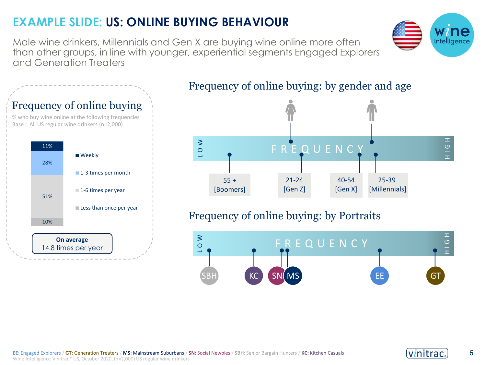## **EXAMPLE SLIDE: US: ONLINE BUYING BEHAVIOUR**

**On average** 14.8 times per year

Male wine drinkers, Millennials and Gen X are buying wine online more often than other groups, in line with younger, experiential segments Engaged Explorers and Generation Treaters



### Frequency of online buying: by gender and age







 $\overline{G}$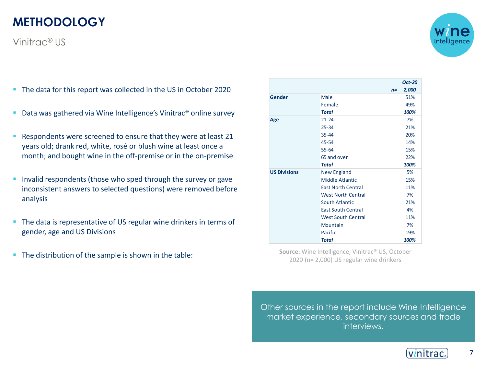## **METHODOLOGY**

Vinitrac® US

- The data for this report was collected in the US in October 2020
- Data was gathered via Wine Intelligence's Vinitrac® online survey
- Respondents were screened to ensure that they were at least 21 years old; drank red, white, rosé or blush wine at least once a month; and bought wine in the off-premise or in the on-premise
- **EXTER** Invalid respondents (those who sped through the survey or gave inconsistent answers to selected questions) were removed before analysis
- The data is representative of US regular wine drinkers in terms of gender, age and US Divisions
- The distribution of the sample is shown in the table: **Source: Wine Intelligence, Vinitrac® US**, October

|                     |                           |       | <b>Oct-20</b> |
|---------------------|---------------------------|-------|---------------|
|                     |                           | $n =$ | 2,000         |
| Gender              | Male                      |       | 51%           |
|                     | Female                    |       | 49%           |
|                     | Total                     |       | 100%          |
| Age                 | $21 - 24$                 |       | 7%            |
|                     | $25 - 34$                 |       | 21%           |
|                     | 35-44                     |       | 20%           |
|                     | 45-54                     |       | 14%           |
|                     | $55 - 64$                 |       | 15%           |
|                     | 65 and over               |       | 22%           |
|                     | <b>Total</b>              |       | 100%          |
| <b>US Divisions</b> | <b>New England</b>        |       | 5%            |
|                     | Middle Atlantic           |       | 15%           |
|                     | <b>East North Central</b> |       | 11%           |
|                     | <b>West North Central</b> |       | 7%            |
|                     | <b>South Atlantic</b>     |       | 21%           |
|                     | <b>East South Central</b> |       | 4%            |
|                     | <b>West South Central</b> |       | 11%           |
|                     | Mountain                  |       | 7%            |
|                     | Pacific                   |       | 19%           |
|                     | Total                     |       | 100%          |

2020 (n= 2,000) US regular wine drinkers

Other sources in the report include Wine Intelligence market experience, secondary sources and trade interviews.



7